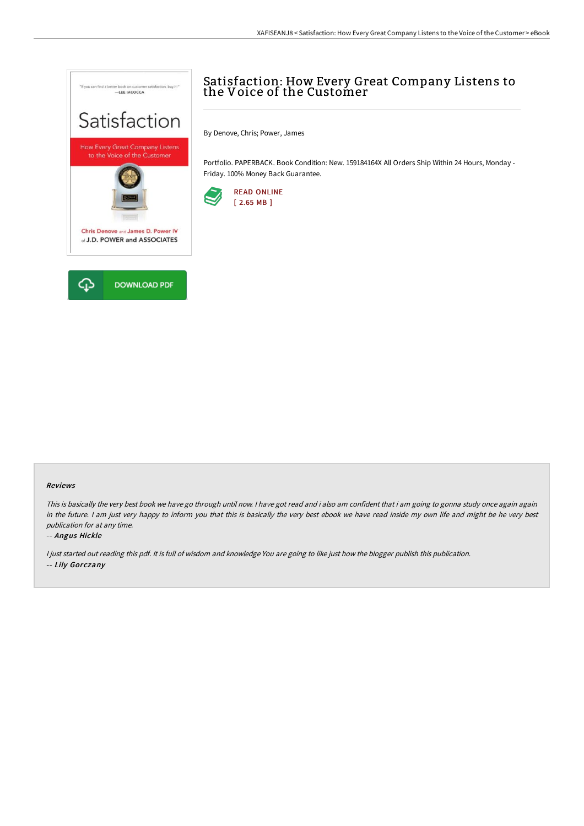

# Satisfaction: How Every Great Company Listens to the Voice of the Customer

By Denove, Chris; Power, James

Portfolio. PAPERBACK. Book Condition: New. 159184164X All Orders Ship Within 24 Hours, Monday - Friday. 100% Money Back Guarantee.



#### Reviews

This is basically the very best book we have go through until now. I have got read and i also am confident that i am going to gonna study once again again in the future. <sup>I</sup> am just very happy to inform you that this is basically the very best ebook we have read inside my own life and might be he very best publication for at any time.

#### -- Angus Hickle

I just started out reading this pdf. It is full of wisdom and knowledge You are going to like just how the blogger publish this publication. -- Lily Gorczany